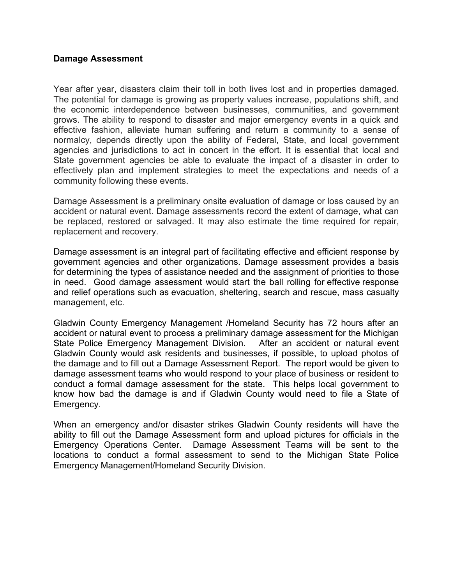## **Damage Assessment**

Year after year, disasters claim their toll in both lives lost and in properties damaged. The potential for damage is growing as property values increase, populations shift, and the economic interdependence between businesses, communities, and government grows. The ability to respond to disaster and major emergency events in a quick and effective fashion, alleviate human suffering and return a community to a sense of normalcy, depends directly upon the ability of Federal, State, and local government agencies and jurisdictions to act in concert in the effort. It is essential that local and State government agencies be able to evaluate the impact of a disaster in order to effectively plan and implement strategies to meet the expectations and needs of a community following these events.

Damage Assessment is a preliminary onsite evaluation of damage or loss caused by an accident or natural event. Damage assessments record the extent of damage, what can be replaced, restored or salvaged. It may also estimate the time required for repair, replacement and recovery.

Damage assessment is an integral part of facilitating effective and efficient response by government agencies and other organizations. Damage assessment provides a basis for determining the types of assistance needed and the assignment of priorities to those in need. Good damage assessment would start the ball rolling for effective response and relief operations such as evacuation, sheltering, search and rescue, mass casualty management, etc.

Gladwin County Emergency Management /Homeland Security has 72 hours after an accident or natural event to process a preliminary damage assessment for the Michigan State Police Emergency Management Division. After an accident or natural event Gladwin County would ask residents and businesses, if possible, to upload photos of the damage and to fill out a Damage Assessment Report. The report would be given to damage assessment teams who would respond to your place of business or resident to conduct a formal damage assessment for the state. This helps local government to know how bad the damage is and if Gladwin County would need to file a State of Emergency.

When an emergency and/or disaster strikes Gladwin County residents will have the ability to fill out the Damage Assessment form and upload pictures for officials in the Emergency Operations Center. Damage Assessment Teams will be sent to the locations to conduct a formal assessment to send to the Michigan State Police Emergency Management/Homeland Security Division.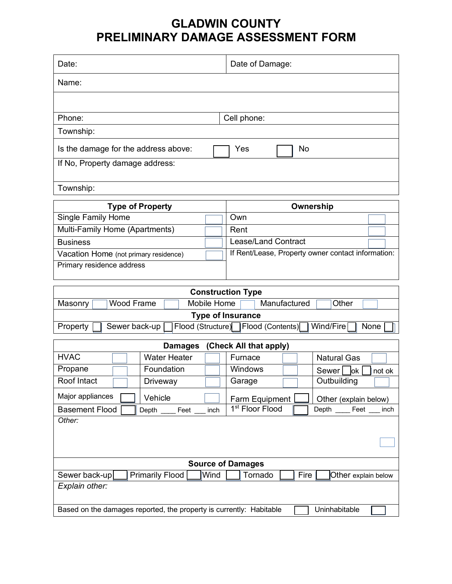## **GLADWIN COUNTY PRELIMINARY DAMAGE ASSESSMENT FORM**

| Date:                                                                                                                |           | Date of Damage:                                    |  |  |
|----------------------------------------------------------------------------------------------------------------------|-----------|----------------------------------------------------|--|--|
| Name:                                                                                                                |           |                                                    |  |  |
|                                                                                                                      |           |                                                    |  |  |
| Phone:<br>Cell phone:                                                                                                |           |                                                    |  |  |
| Township:                                                                                                            |           |                                                    |  |  |
| Is the damage for the address above:                                                                                 | Yes<br>No |                                                    |  |  |
| If No, Property damage address:                                                                                      |           |                                                    |  |  |
| Township:                                                                                                            |           |                                                    |  |  |
|                                                                                                                      |           |                                                    |  |  |
| <b>Type of Property</b>                                                                                              |           | Ownership                                          |  |  |
| <b>Single Family Home</b>                                                                                            |           | Own                                                |  |  |
| Multi-Family Home (Apartments)                                                                                       |           | Rent                                               |  |  |
| <b>Business</b>                                                                                                      |           | <b>Lease/Land Contract</b>                         |  |  |
| Vacation Home (not primary residence)                                                                                |           | If Rent/Lease, Property owner contact information: |  |  |
| Primary residence address                                                                                            |           |                                                    |  |  |
|                                                                                                                      |           |                                                    |  |  |
| <b>Construction Type</b>                                                                                             |           |                                                    |  |  |
| <b>Wood Frame</b><br>Mobile Home<br>Manufactured<br>Other<br>Masonry                                                 |           |                                                    |  |  |
| <b>Type of Insurance</b>                                                                                             |           |                                                    |  |  |
| Flood (Structure)<br>Flood (Contents)<br>Wind/Fire<br>Sewer back-up<br>Property<br>None                              |           |                                                    |  |  |
| (Check All that apply)<br><b>Damages</b>                                                                             |           |                                                    |  |  |
| <b>HVAC</b><br><b>Water Heater</b>                                                                                   |           | <b>Natural Gas</b><br>Furnace                      |  |  |
| Propane<br>Foundation                                                                                                |           | Windows<br>Sewer <sup>[</sup><br>lok<br>not ok     |  |  |
| Roof Intact<br>Driveway                                                                                              |           | Outbuilding<br>Garage                              |  |  |
| Major appliances<br>Vehicle                                                                                          |           | Farm Equipment<br>Other (explain below)            |  |  |
| 1 <sup>st</sup> Floor Flood<br><b>Basement Flood</b><br>Depth _____ Feet ___<br>Depth _____ Feet ___<br>inch<br>inch |           |                                                    |  |  |
| Other:                                                                                                               |           |                                                    |  |  |
|                                                                                                                      |           |                                                    |  |  |
|                                                                                                                      |           |                                                    |  |  |
|                                                                                                                      |           |                                                    |  |  |
| <b>Source of Damages</b>                                                                                             |           |                                                    |  |  |
| <b>Primarily Flood</b><br>Wind<br>Sewer back-up<br>Tornado<br>Fire<br>Other explain below                            |           |                                                    |  |  |
| Explain other:                                                                                                       |           |                                                    |  |  |
| Based on the damages reported, the property is currently: Habitable<br>Uninhabitable                                 |           |                                                    |  |  |